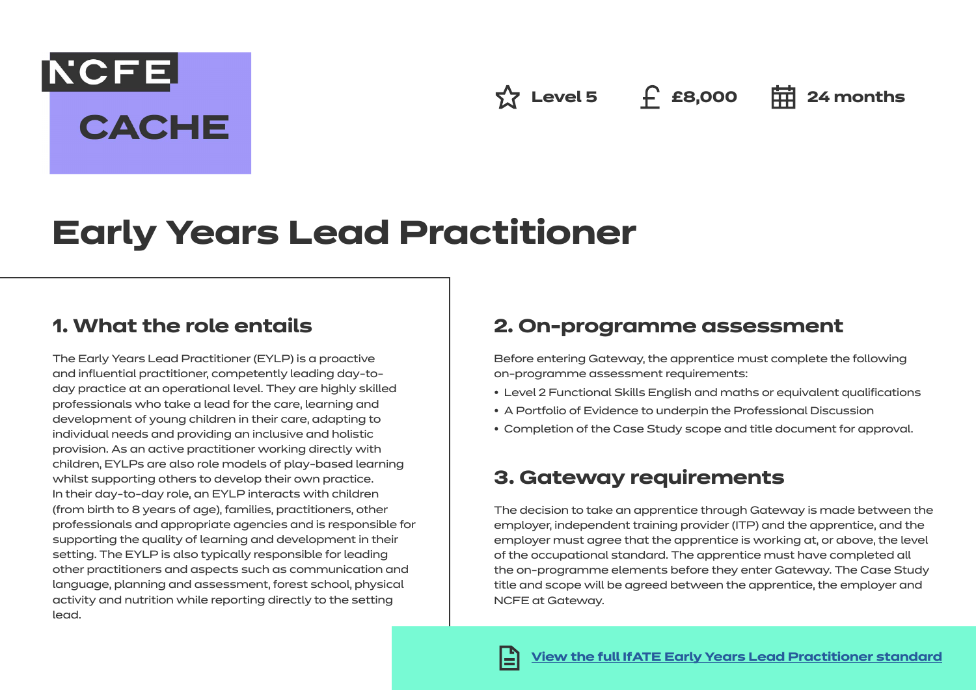**Az Level 5 f** £8,000 **= 24 months** 

# **Early Years Lead Practitioner**

### **1. What the role entails**

**NCFE** 

**CACHE** 

The Early Years Lead Practitioner (EYLP) is a proactive and influential practitioner, competently leading day-today practice at an operational level. They are highly skilled professionals who take a lead for the care, learning and development of young children in their care, adapting to individual needs and providing an inclusive and holistic provision. As an active practitioner working directly with children, EYLPs are also role models of play-based learning whilst supporting others to develop their own practice. In their day-to-day role, an EYLP interacts with children (from birth to 8 years of age), families, practitioners, other professionals and appropriate agencies and is responsible for supporting the quality of learning and development in their setting. The EYLP is also typically responsible for leading other practitioners and aspects such as communication and language, planning and assessment, forest school, physical activity and nutrition while reporting directly to the setting lead.

### **2. On-programme assessment**

Before entering Gateway, the apprentice must complete the following on-programme assessment requirements:

- Level 2 Functional Skills English and maths or equivalent qualifications
- A Portfolio of Evidence to underpin the Professional Discussion
- Completion of the Case Study scope and title document for approval.

### **3. Gateway requirements**

The decision to take an apprentice through Gateway is made between the employer, independent training provider (ITP) and the apprentice, and the employer must agree that the apprentice is working at, or above, the level of the occupational standard. The apprentice must have completed all the on-programme elements before they enter Gateway. The Case Study title and scope will be agreed between the apprentice, the employer and NCFE at Gateway.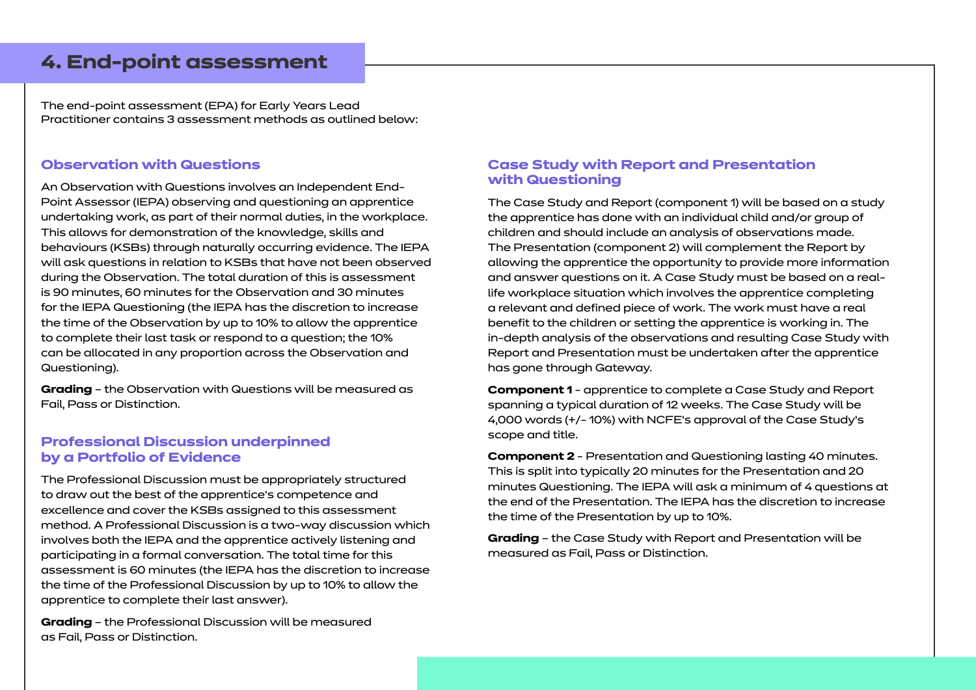### **4. End-point assessment**

The end-point assessment (EPA) for Early Years Lead Practitioner contains 3 assessment methods as outlined below:

### **Observation with Questions**

An Observation with Questions involves an Independent End-Point Assessor (IEPA) observing and questioning an apprentice undertaking work, as part of their normal duties, in the workplace. This allows for demonstration of the knowledge, skills and behaviours (KSBs) through naturally occurring evidence. The IEPA will ask questions in relation to KSBs that have not been observed during the Observation. The total duration of this is assessment is 90 minutes, 60 minutes for the Observation and 30 minutes for the IEPA Questioning (the IEPA has the discretion to increase the time of the Observation by up to 10% to allow the apprentice to complete their last task or respond to a question; the 10% can be allocated in any proportion across the Observation and Questioning).

**Grading** – the Observation with Questions will be measured as Fail, Pass or Distinction.

#### **Professional Discussion underpinned by a Portfolio of Evidence**

The Professional Discussion must be appropriately structured to draw out the best of the apprentice's competence and excellence and cover the KSBs assigned to this assessment method. A Professional Discussion is a two-way discussion which involves both the IEPA and the apprentice actively listening and participating in a formal conversation. The total time for this assessment is 60 minutes (the IEPA has the discretion to increase the time of the Professional Discussion by up to 10% to allow the apprentice to complete their last answer).

**Grading** – the Professional Discussion will be measured as Fail, Pass or Distinction.

#### **Case Study with Report and Presentation with Questioning**

The Case Study and Report (component 1) will be based on a study the apprentice has done with an individual child and/or group of children and should include an analysis of observations made. The Presentation (component 2) will complement the Report by allowing the apprentice the opportunity to provide more information and answer questions on it. A Case Study must be based on a reallife workplace situation which involves the apprentice completing a relevant and defined piece of work. The work must have a real benefit to the children or setting the apprentice is working in. The in-depth analysis of the observations and resulting Case Study with Report and Presentation must be undertaken after the apprentice has gone through Gateway.

**Component 1** - apprentice to complete a Case Study and Report spanning a typical duration of 12 weeks. The Case Study will be 4,000 words (+/- 10%) with NCFE's approval of the Case Study's scope and title.

**Component 2** - Presentation and Questioning lasting 40 minutes. This is split into typically 20 minutes for the Presentation and 20 minutes Questioning. The IEPA will ask a minimum of 4 questions at the end of the Presentation. The IEPA has the discretion to increase the time of the Presentation by up to 10%.

**Grading** – the Case Study with Report and Presentation will be measured as Fail, Pass or Distinction.